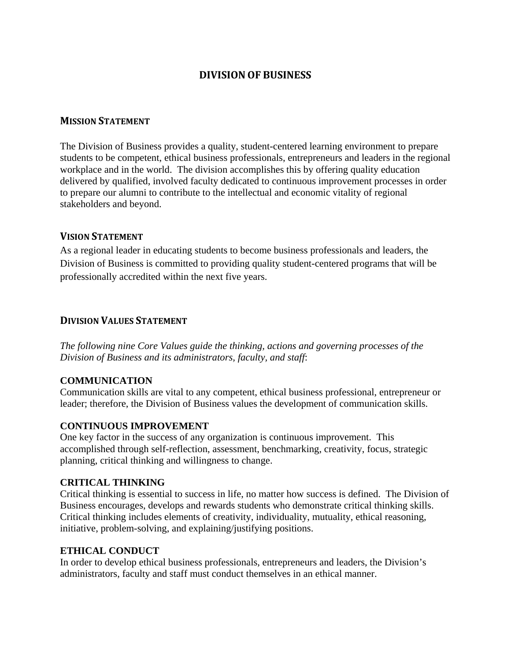# **DIVISIONOF BUSINESS**

#### **MISSION STATEMENT**

The Division of Business provides a quality, student-centered learning environment to prepare students to be competent, ethical business professionals, entrepreneurs and leaders in the regional workplace and in the world. The division accomplishes this by offering quality education delivered by qualified, involved faculty dedicated to continuous improvement processes in order to prepare our alumni to contribute to the intellectual and economic vitality of regional stakeholders and beyond.

## **VISION STATEMENT**

As a regional leader in educating students to become business professionals and leaders, the Division of Business is committed to providing quality student-centered programs that will be professionally accredited within the next five years.

## **DIVISION VALUES STATEMENT**

*The following nine Core Values guide the thinking, actions and governing processes of the Division of Business and its administrators, faculty, and staff*:

## **COMMUNICATION**

Communication skills are vital to any competent, ethical business professional, entrepreneur or leader; therefore, the Division of Business values the development of communication skills.

#### **CONTINUOUS IMPROVEMENT**

One key factor in the success of any organization is continuous improvement. This accomplished through self-reflection, assessment, benchmarking, creativity, focus, strategic planning, critical thinking and willingness to change.

#### **CRITICAL THINKING**

Critical thinking is essential to success in life, no matter how success is defined. The Division of Business encourages, develops and rewards students who demonstrate critical thinking skills. Critical thinking includes elements of creativity, individuality, mutuality, ethical reasoning, initiative, problem-solving, and explaining/justifying positions.

#### **ETHICAL CONDUCT**

In order to develop ethical business professionals, entrepreneurs and leaders, the Division's administrators, faculty and staff must conduct themselves in an ethical manner.